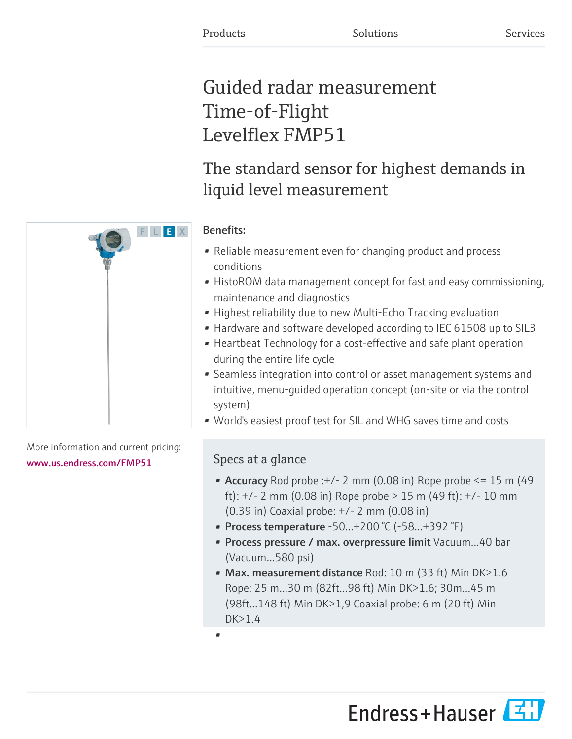# Guided radar measurement Time-of-Flight Levelflex FMP51

# The standard sensor for highest demands in liquid level measurement

# Benefits:

- Reliable measurement even for changing product and process conditions
- HistoROM data management concept for fast and easy commissioning, maintenance and diagnostics
- Highest reliability due to new Multi-Echo Tracking evaluation
- Hardware and software developed according to IEC 61508 up to SIL3
- Heartbeat Technology for a cost-effective and safe plant operation during the entire life cycle
- Seamless integration into control or asset management systems and intuitive, menu-guided operation concept (on-site or via the control system)
- World's easiest proof test for SIL and WHG saves time and costs

# Specs at a glance

- Accuracy Rod probe : $+/- 2$  mm (0.08 in) Rope probe  $\leq 15$  m (49 ft): +/- 2 mm (0.08 in) Rope probe > 15 m (49 ft): +/- 10 mm (0.39 in) Coaxial probe: +/- 2 mm (0.08 in)
- Process temperature  $-50...+200$  °C ( $-58...+392$  °F)
- Process pressure / max. overpressure limit Vacuum...40 bar (Vacuum...580 psi)
- Max. measurement distance Rod: 10 m (33 ft) Min DK>1.6 Rope: 25 m...30 m (82ft...98 ft) Min DK>1.6; 30m...45 m (98ft...148 ft) Min DK>1,9 Coaxial probe: 6 m (20 ft) Min DK>1.4

•



More information and current pricing: [www.us.endress.com/FMP51](https://www.us.endress.com/FMP51)

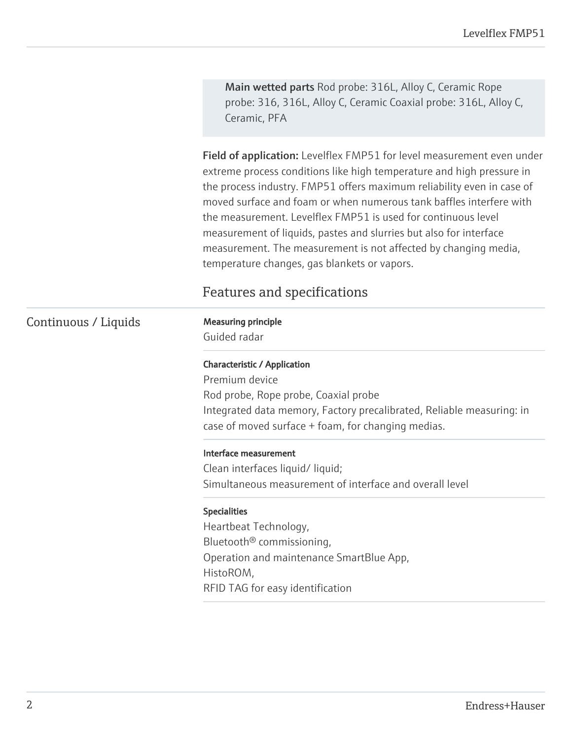Main wetted parts Rod probe: 316L, Alloy C, Ceramic Rope probe: 316, 316L, Alloy C, Ceramic Coaxial probe: 316L, Alloy C, Ceramic, PFA

Field of application: Levelflex FMP51 for level measurement even under extreme process conditions like high temperature and high pressure in the process industry. FMP51 offers maximum reliability even in case of moved surface and foam or when numerous tank baffles interfere with the measurement. Levelflex FMP51 is used for continuous level measurement of liquids, pastes and slurries but also for interface measurement. The measurement is not affected by changing media, temperature changes, gas blankets or vapors.

# Features and specifications

### Continuous / Liquids Measuring principle

Guided radar

#### Characteristic / Application

Premium device Rod probe, Rope probe, Coaxial probe Integrated data memory, Factory precalibrated, Reliable measuring: in case of moved surface + foam, for changing medias.

#### Interface measurement

Clean interfaces liquid/ liquid; Simultaneous measurement of interface and overall level

#### Specialities

Heartbeat Technology, Bluetooth® commissioning, Operation and maintenance SmartBlue App, HistoROM, RFID TAG for easy identification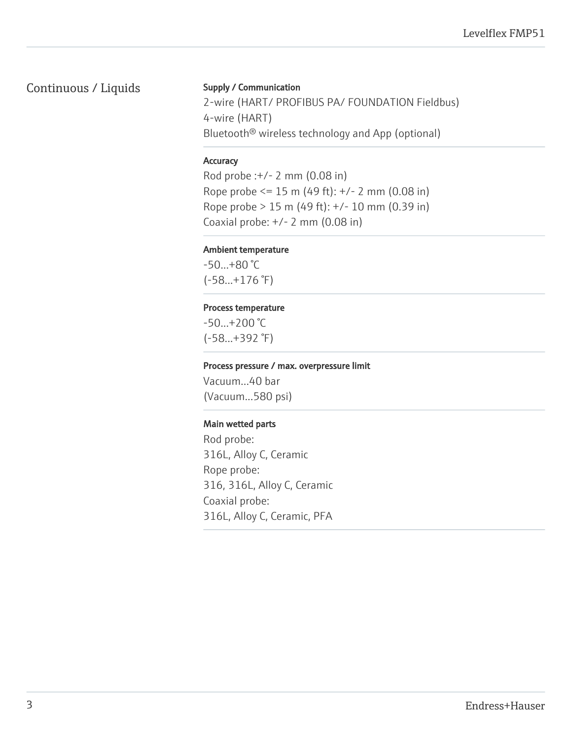## Continuous / Liquids

#### Supply / Communication

2-wire (HART/ PROFIBUS PA/ FOUNDATION Fieldbus) 4-wire (HART) Bluetooth® wireless technology and App (optional)

#### **Accuracy**

Rod probe :+/- 2 mm (0.08 in) Rope probe <= 15 m (49 ft): +/- 2 mm (0.08 in) Rope probe > 15 m (49 ft): +/- 10 mm (0.39 in) Coaxial probe: +/- 2 mm (0.08 in)

#### Ambient temperature

-50...+80 °C (-58...+176 °F)

#### Process temperature

-50...+200 °C (-58...+392 °F)

#### Process pressure / max. overpressure limit

Vacuum...40 bar (Vacuum...580 psi)

#### Main wetted parts

Rod probe: 316L, Alloy C, Ceramic Rope probe: 316, 316L, Alloy C, Ceramic Coaxial probe: 316L, Alloy C, Ceramic, PFA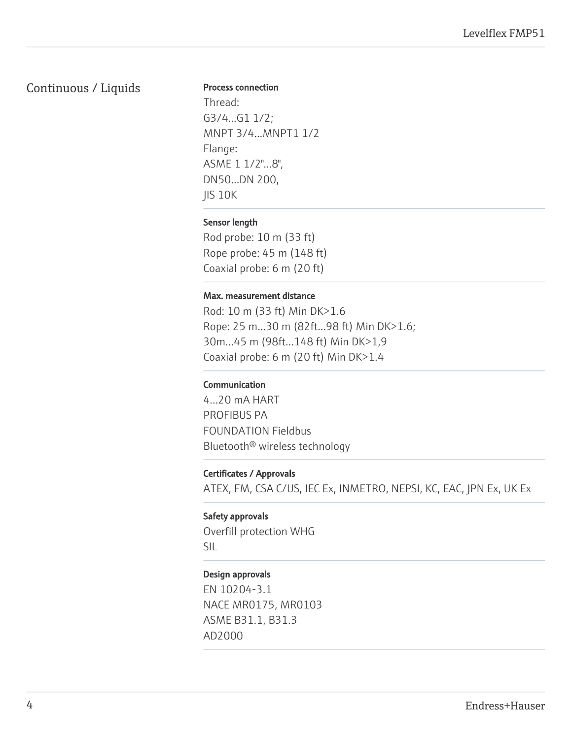## Continuous / Liquids

#### Process connection

Thread: G3/4...G1 1/2; MNPT 3/4...MNPT1 1/2 Flange: ASME 1 1/2"...8", DN50...DN 200, JIS 10K

#### Sensor length

Rod probe: 10 m (33 ft) Rope probe: 45 m (148 ft) Coaxial probe: 6 m (20 ft)

#### Max. measurement distance

Rod: 10 m (33 ft) Min DK>1.6 Rope: 25 m...30 m (82ft...98 ft) Min DK>1.6; 30m...45 m (98ft...148 ft) Min DK>1,9 Coaxial probe: 6 m (20 ft) Min DK>1.4

#### Communication

4...20 mA HART PROFIBUS PA FOUNDATION Fieldbus Bluetooth® wireless technology

#### Certificates / Approvals

ATEX, FM, CSA C/US, IEC Ex, INMETRO, NEPSI, KC, EAC, JPN Ex, UK Ex

# Safety approvals Overfill protection WHG

SIL

#### Design approvals

EN 10204-3.1 NACE MR0175, MR0103 ASME B31.1, B31.3 AD2000